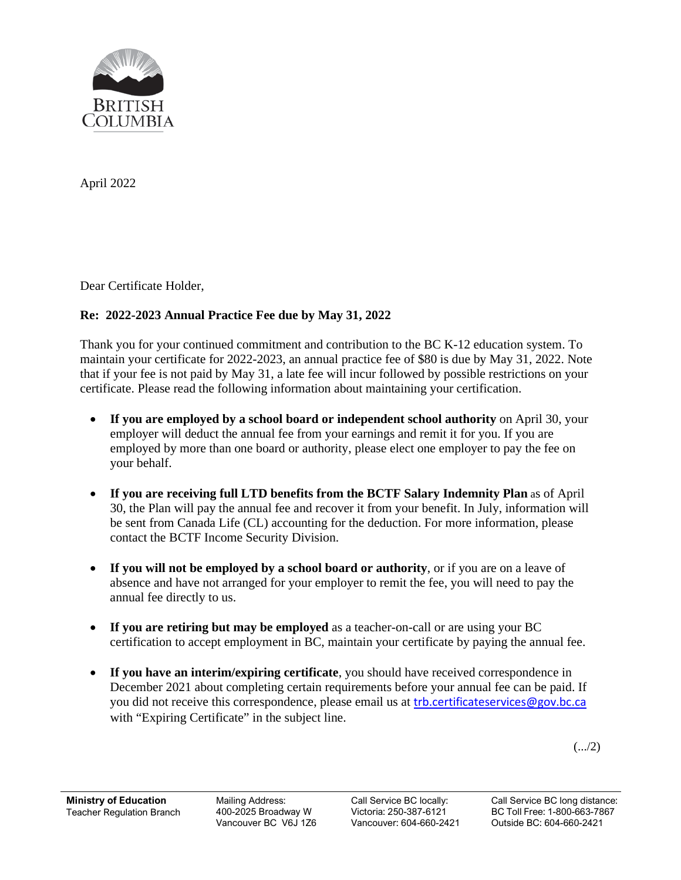

April 2022

Dear Certificate Holder,

## **Re: 2022-2023 Annual Practice Fee due by May 31, 2022**

Thank you for your continued commitment and contribution to the BC K-12 education system. To maintain your certificate for 2022-2023, an annual practice fee of \$80 is due by May 31, 2022. Note that if your fee is not paid by May 31, a late fee will incur followed by possible restrictions on your certificate. Please read the following information about maintaining your certification.

- **If you are employed by a school board or independent school authority** on April 30, your employer will deduct the annual fee from your earnings and remit it for you. If you are employed by more than one board or authority, please elect one employer to pay the fee on your behalf.
- **If you are receiving full LTD benefits from the BCTF Salary Indemnity Plan** as of April 30, the Plan will pay the annual fee and recover it from your benefit. In July, information will be sent from Canada Life (CL) accounting for the deduction. For more information, please contact the BCTF Income Security Division.
- **If you will not be employed by a school board or authority**, or if you are on a leave of absence and have not arranged for your employer to remit the fee, you will need to pay the annual fee directly to us.
- **If you are retiring but may be employed** as a teacher-on-call or are using your BC certification to accept employment in BC, maintain your certificate by paying the annual fee.
- **If you have an interim/expiring certificate**, you should have received correspondence in December 2021 about completing certain requirements before your annual fee can be paid. If you did not receive this correspondence, please email us at **[trb.certificateservices@gov.bc.ca](mailto:trb.certificateservices@gov.bc.ca)** with "Expiring Certificate" in the subject line.

 $(.../2)$